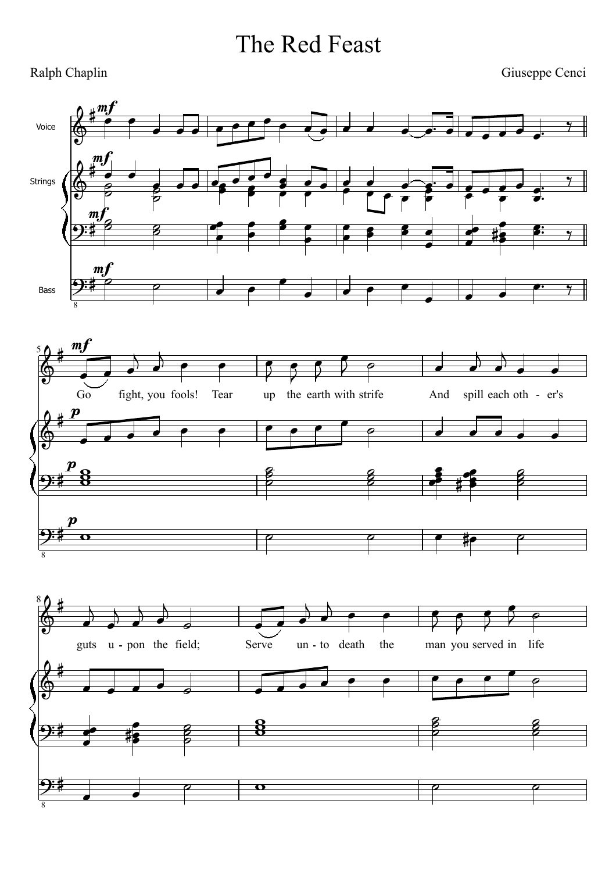## The Red Feast

## Ralph Chaplin

Giuseppe Cenci

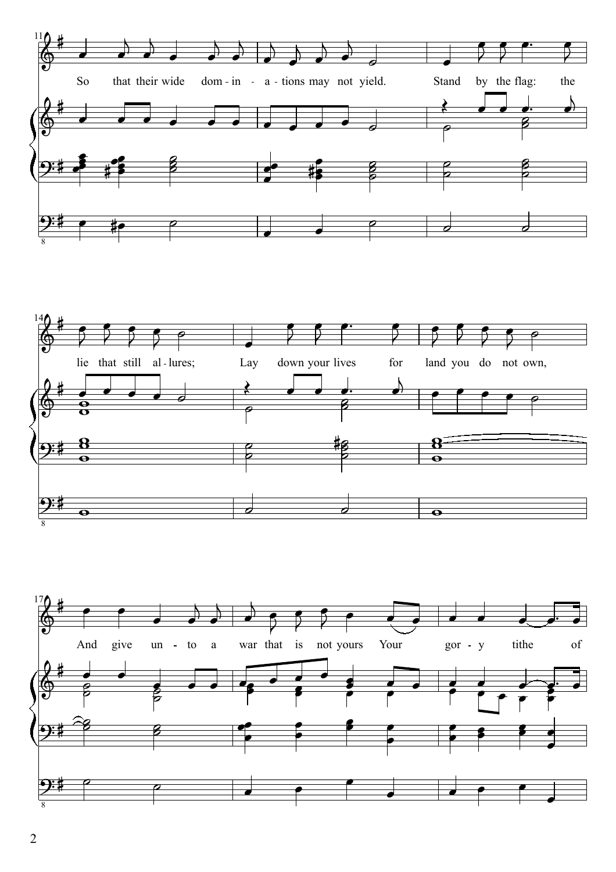



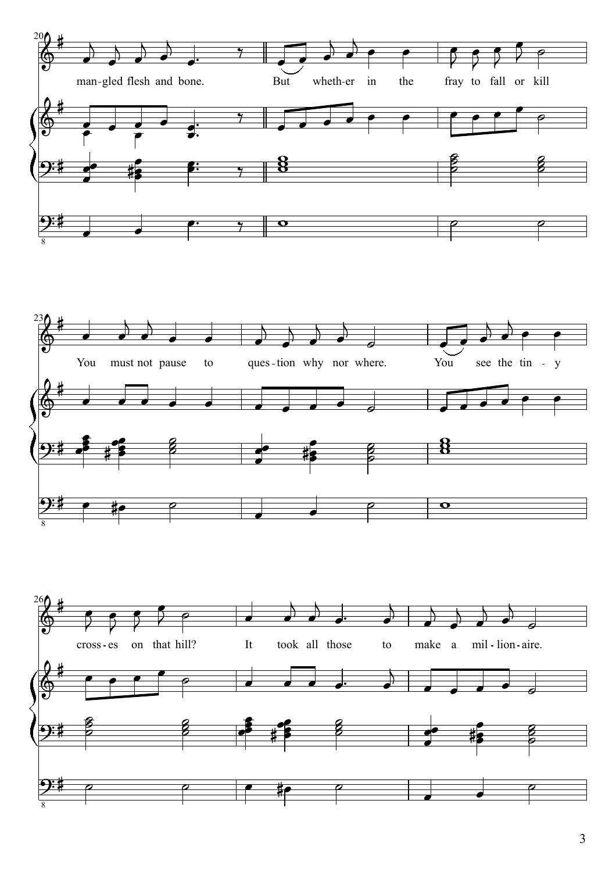



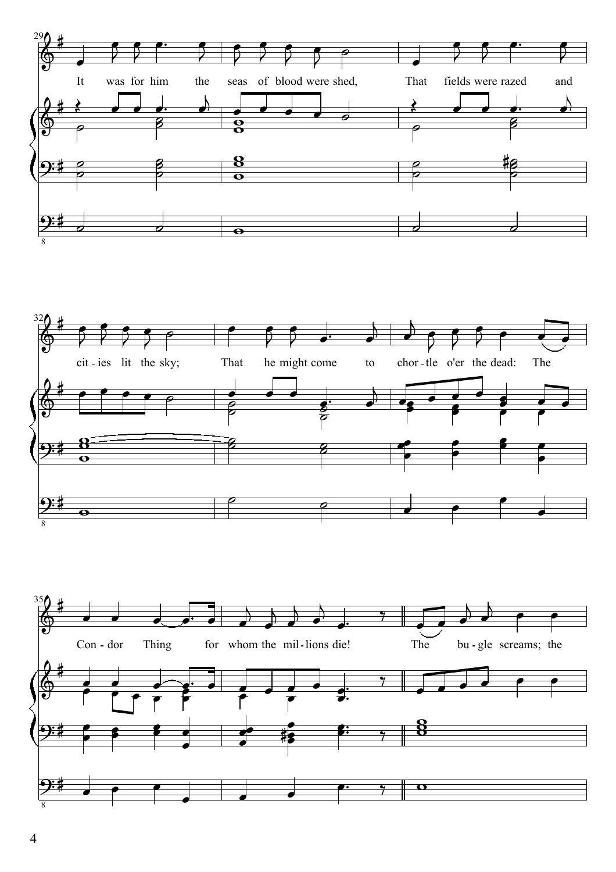



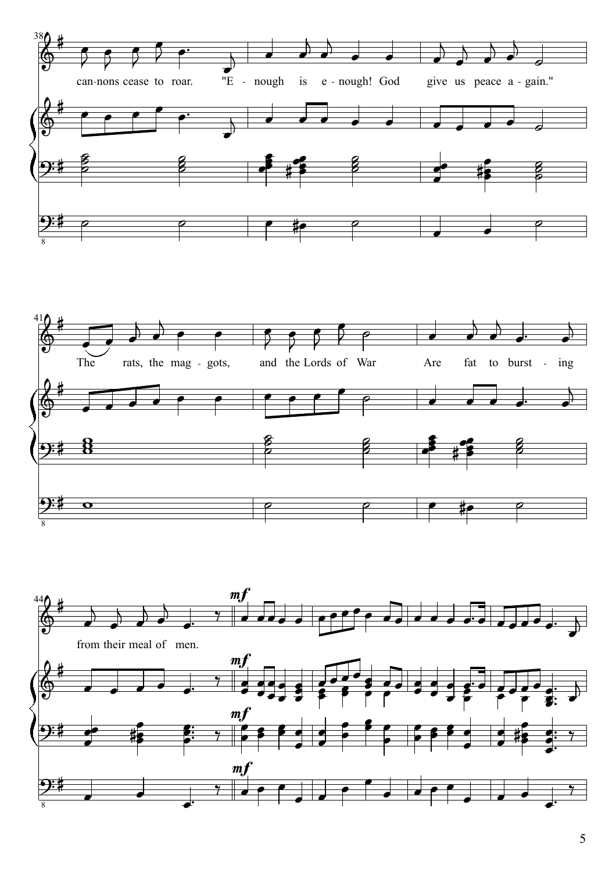



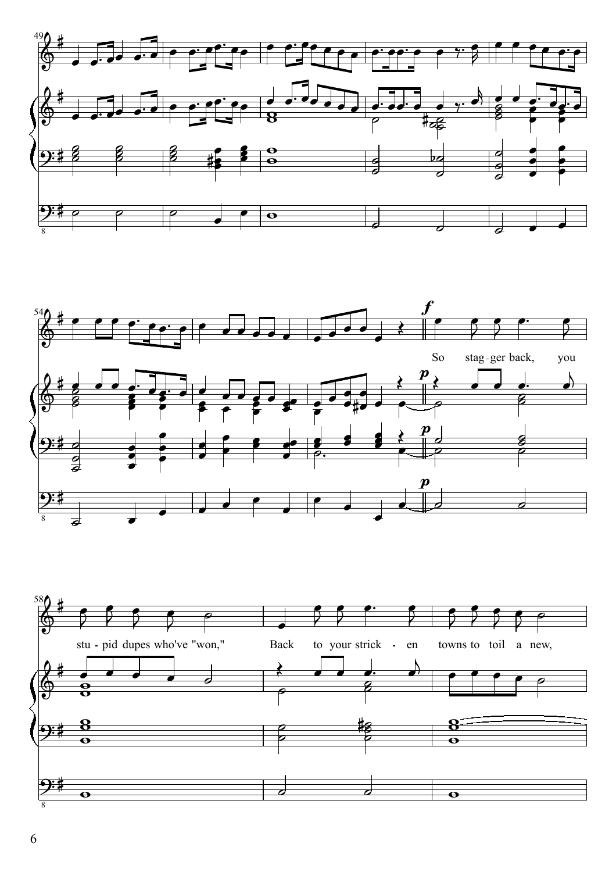



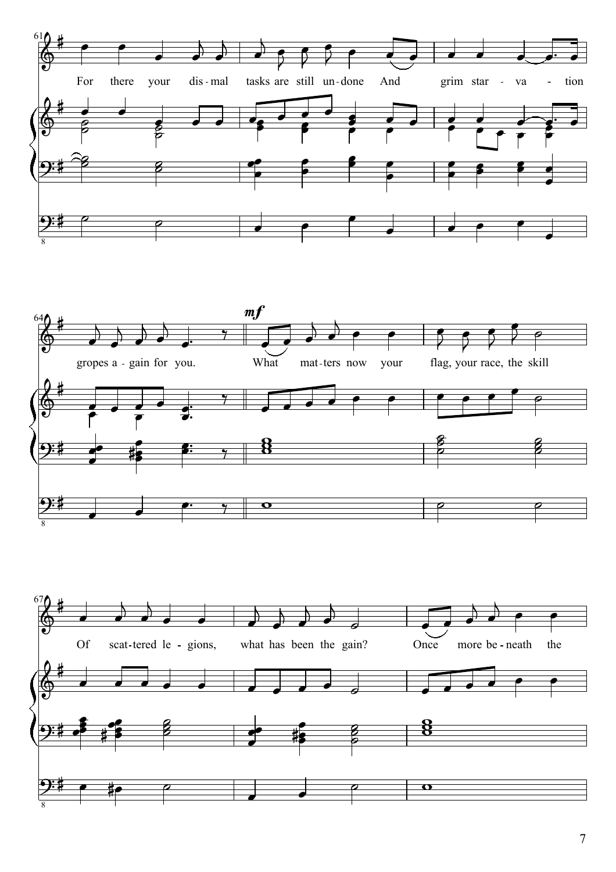



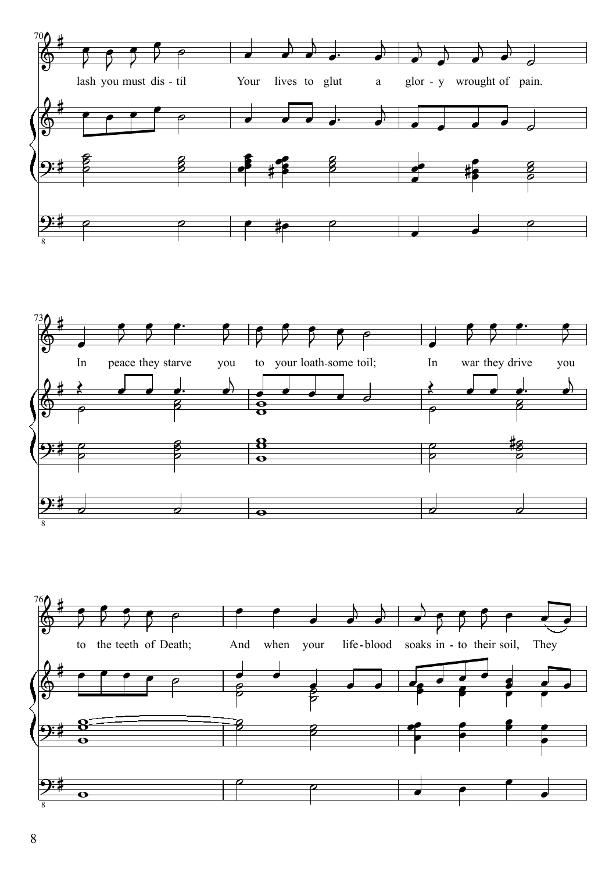



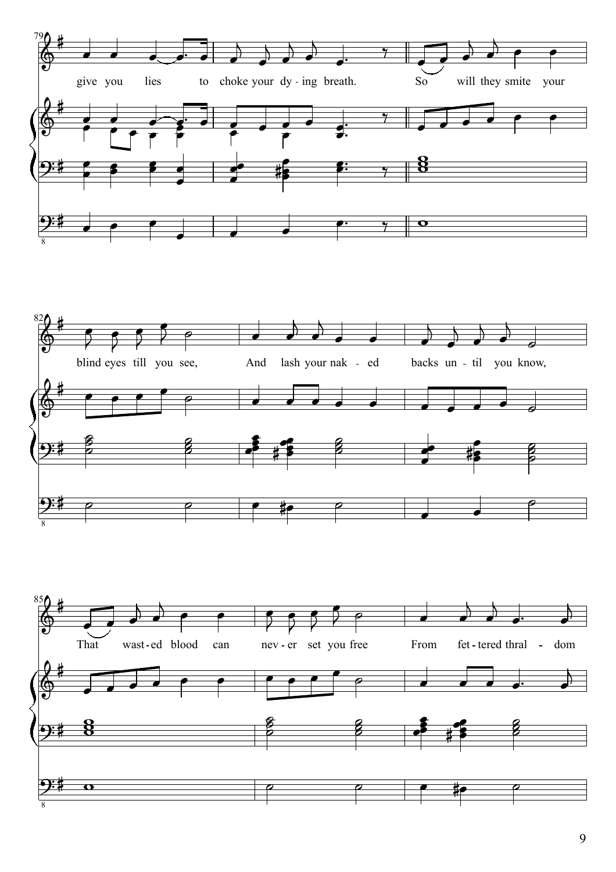



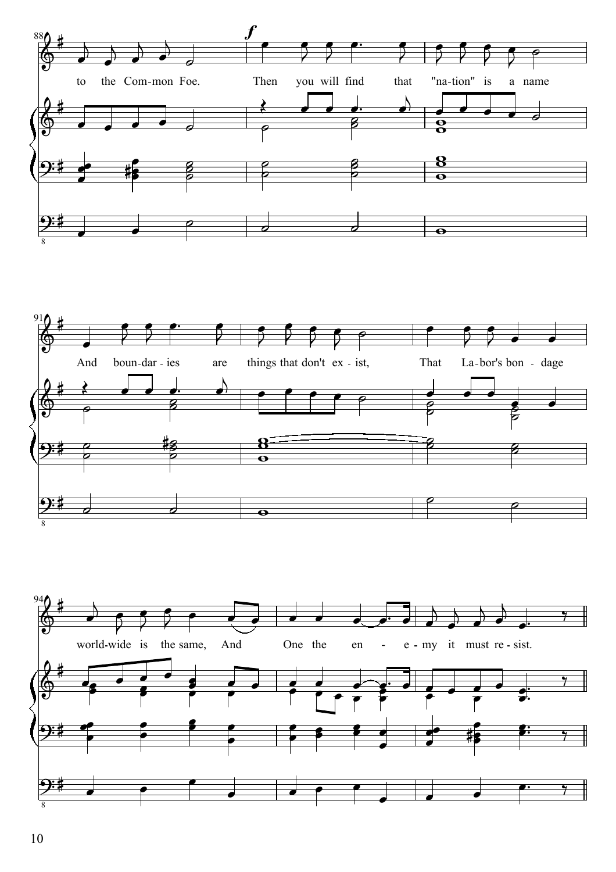